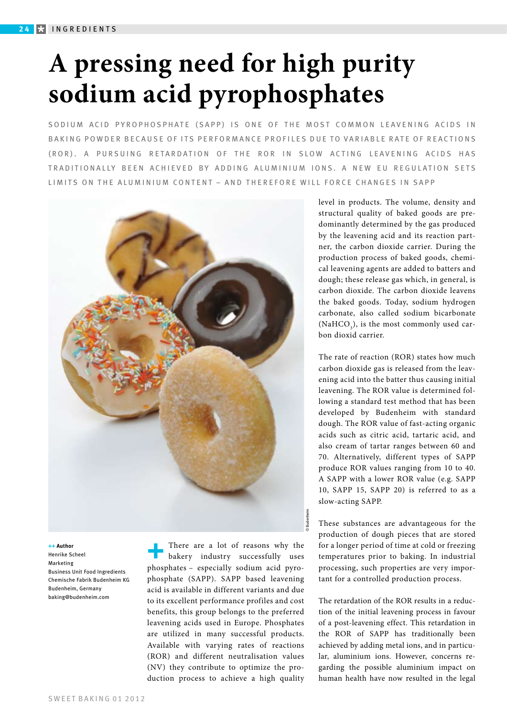# **A pressing need for high purity sodium acid pyrophosphates**

SODIUM ACID PYROPHOSPHATE (SAPP) IS ONE OF THE MOST COMMON LEAVENING ACIDS IN B A K I N G PO W D ER BE C A U SE OF ITS PERFORMANCE PROFILES DUE TO VARIABLE RATE OF REACTIONS (ROR). A PURSUING RETARDATION OF THE ROR IN SLOW ACTING LEAVENING ACIDS HAS TRADITIONALLY BEEN ACHIEVED BY ADDING ALUMINIUM IONS. A NEW EU REGULATION SETS LIMITS ON THE ALUMINIUM CONTENT – AND THEREFORE WILL FORCE CHANGES IN SAPP



**++ Author** Henrike Scheel Marketing Business Unit Food Ingredients Chemische Fabrik Budenheim KG Budenheim, Germany baking@budenheim.com

There are a lot of reasons why the bakery industry successfully uses phosphates – especially sodium acid pyrophosphate (SAPP). SAPP based leavening acid is available in different variants and due to its excellent performance profiles and cost benefits, this group belongs to the preferred leavening acids used in Europe. Phosphates are utilized in many successful products. Available with varying rates of reactions (ROR) and different neutralisation values (NV) they contribute to optimize the production process to achieve a high quality level in products. The volume, density and structural quality of baked goods are predominantly determined by the gas produced by the leavening acid and its reaction partner, the carbon dioxide carrier. During the production process of baked goods, chemical leavening agents are added to batters and dough; these release gas which, in general, is carbon dioxide. The carbon dioxide leavens the baked goods. Today, sodium hydrogen carbonate, also called sodium bicarbonate (NaHCO<sub>3</sub>), is the most commonly used carbon dioxid carrier.

The rate of reaction (ROR) states how much carbon dioxide gas is released from the leavening acid into the batter thus causing initial leavening. The ROR value is determined following a standard test method that has been developed by Budenheim with standard dough. The ROR value of fast-acting organic acids such as citric acid, tartaric acid, and also cream of tartar ranges between 60 and 70. Alternatively, different types of SAPP produce ROR values ranging from 10 to 40. A SAPP with a lower ROR value (e.g. SAPP 10, SAPP 15, SAPP 20) is referred to as a slow-acting SAPP.

These substances are advantageous for the production of dough pieces that are stored for a longer period of time at cold or freezing temperatures prior to baking. In industrial processing, such properties are very important for a controlled production process.

The retardation of the ROR results in a reduction of the initial leavening process in favour of a post-leavening effect. This retardation in the ROR of SAPP has traditionally been achieved by adding metal ions, and in particular, aluminium ions. However, concerns regarding the possible aluminium impact on human health have now resulted in the legal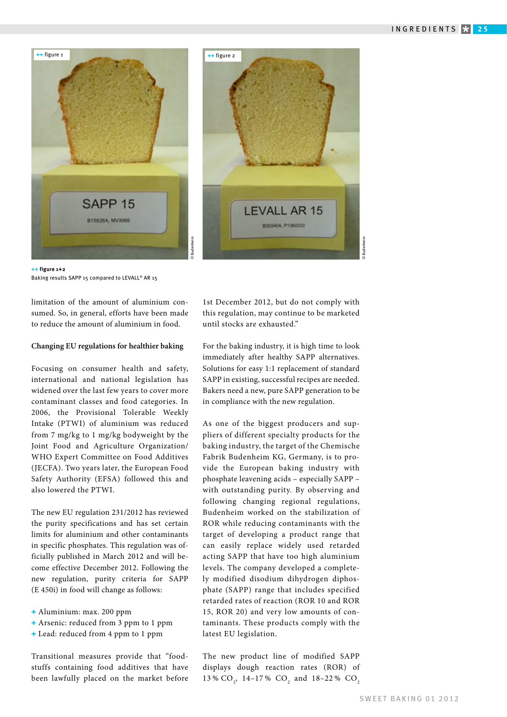

**++ figure 1+2** Baking results SAPP 15 compared to LEVALL® AR 15

limitation of the amount of aluminium consumed. So, in general, efforts have been made to reduce the amount of aluminium in food.

#### **Changing EU regulations for healthier baking**

Focusing on consumer health and safety, international and national legislation has widened over the last few years to cover more contaminant classes and food categories. In 2006, the Provisional Tolerable Weekly Intake (PTWI) of aluminium was reduced from 7 mg/kg to 1 mg/kg bodyweight by the Joint Food and Agriculture Organization/ WHO Expert Committee on Food Additives (JECFA). Two years later, the European Food Safety Authority (EFSA) followed this and also lowered the PTWI.

The new EU regulation 231/2012 has reviewed the purity specifications and has set certain limits for aluminium and other contaminants in specific phosphates. This regulation was officially published in March 2012 and will become effective December 2012. Following the new regulation, purity criteria for SAPP (E 450i) in food will change as follows:

- **+** Aluminium: max. 200 ppm
- **+** Arsenic: reduced from 3 ppm to 1 ppm
- **+** Lead: reduced from 4 ppm to 1 ppm

Transitional measures provide that "foodstuffs containing food additives that have been lawfully placed on the market before 1st December 2012, but do not comply with this regulation, may continue to be marketed until stocks are exhausted."

For the baking industry, it is high time to look immediately after healthy SAPP alternatives. Solutions for easy 1:1 replacement of standard SAPP in existing, successful recipes are needed. Bakers need a new, pure SAPP generation to be in compliance with the new regulation.

As one of the biggest producers and suppliers of different specialty products for the baking industry, the target of the Chemische Fabrik Budenheim KG, Germany, is to provide the European baking industry with phosphate leavening acids – especially SAPP – with outstanding purity. By observing and following changing regional regulations, Budenheim worked on the stabilization of ROR while reducing contaminants with the target of developing a product range that can easily replace widely used retarded acting SAPP that have too high aluminium levels. The company developed a completely modified disodium dihydrogen diphosphate (SAPP) range that includes specified retarded rates of reaction (ROR 10 and ROR 15, ROR 20) and very low amounts of contaminants. These products comply with the latest EU legislation.

The new product line of modified SAPP displays dough reaction rates (ROR) of 13 %  $CO_2$ , 14–17 %  $CO_2$  and 18–22 %  $CO_2$